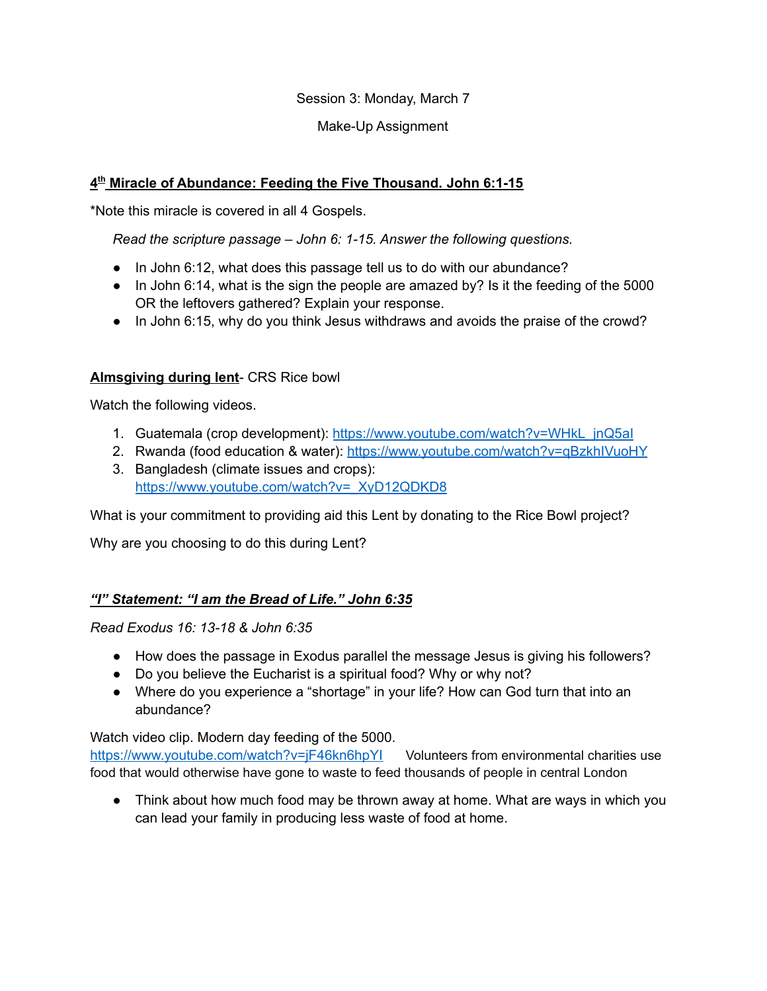Session 3: Monday, March 7

### Make-Up Assignment

## **4 th Miracle of Abundance: Feeding the Five Thousand. John 6:1-15**

\*Note this miracle is covered in all 4 Gospels.

*Read the scripture passage – John 6: 1-15. Answer the following questions.*

- *●* In John 6:12, what does this passage tell us to do with our abundance?
- *●* In John 6:14, what is the sign the people are amazed by? Is it the feeding of the 5000 OR the leftovers gathered? Explain your response.
- *●* In John 6:15, why do you think Jesus withdraws and avoids the praise of the crowd?

### **Almsgiving during lent**- CRS Rice bowl

Watch the following videos.

- 1. Guatemala (crop development): https://www.youtube.com/watch?v=WHkL\_jnQ5al
- 2. Rwanda (food education & water): <https://www.youtube.com/watch?v=qBzkhIVuoHY> 3. Bangladesh (climate issues and crops):
- [https://www.youtube.com/watch?v=\\_XyD12QDKD8](https://www.youtube.com/watch?v=_XyD12QDKD8)

What is your commitment to providing aid this Lent by donating to the Rice Bowl project?

Why are you choosing to do this during Lent?

# *"I" Statement: "I am the Bread of Life." John 6:35*

### *Read Exodus 16: 13-18 & John 6:35*

- How does the passage in Exodus parallel the message Jesus is giving his followers?
- Do you believe the Eucharist is a spiritual food? Why or why not?
- Where do you experience a "shortage" in your life? How can God turn that into an abundance?

Watch video clip. Modern day feeding of the 5000.

<https://www.youtube.com/watch?v=jF46kn6hpYI> Volunteers from environmental charities use food that would otherwise have gone to waste to feed thousands of people in central London

• Think about how much food may be thrown away at home. What are ways in which you can lead your family in producing less waste of food at home.